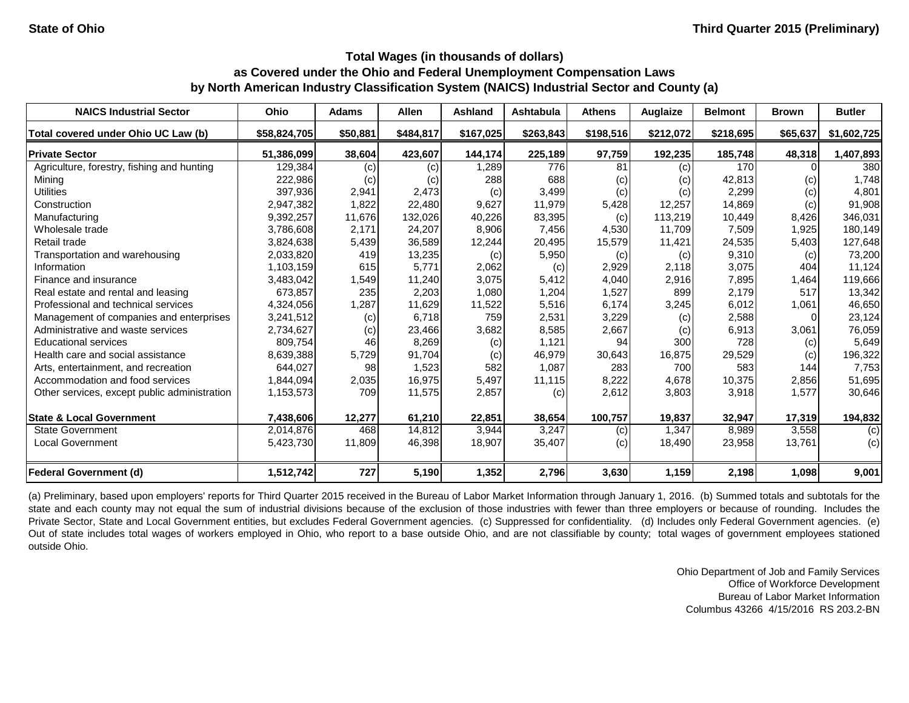| <b>NAICS Industrial Sector</b>               | <b>Ohio</b>  | <b>Adams</b> | <b>Allen</b> | <b>Ashland</b> | <b>Ashtabula</b> | <b>Athens</b> | Auglaize  | <b>Belmont</b> | <b>Brown</b> | <b>Butler</b> |
|----------------------------------------------|--------------|--------------|--------------|----------------|------------------|---------------|-----------|----------------|--------------|---------------|
| Total covered under Ohio UC Law (b)          | \$58,824,705 | \$50,881     | \$484,817    | \$167,025      | \$263,843        | \$198,516     | \$212,072 | \$218,695      | \$65,637     | \$1,602,725   |
| <b>Private Sector</b>                        | 51,386,099   | 38,604       | 423,607      | 144,174        | 225,189          | 97,759        | 192,235   | 185,748        | 48,318       | 1,407,893     |
| Agriculture, forestry, fishing and hunting   | 129,384      | (c)          | (c)          | 1,289          | 776              | 81            | (c)       | 170            |              | 380           |
| Mining                                       | 222,986      | (c)          | (c)          | 288            | 688              | (c)           | (c)       | 42,813         | (c)          | 1,748         |
| <b>Utilities</b>                             | 397,936      | 2,941        | 2,473        | (c)            | 3,499            | (c)           | (c)       | 2,299          | (c)          | 4,801         |
| Construction                                 | 2,947,382    | 1,822        | 22,480       | 9,627          | 11,979           | 5,428         | 12,257    | 14,869         | (c)          | 91,908        |
| Manufacturing                                | 9,392,257    | 11,676       | 132,026      | 40,226         | 83,395           | (c)           | 113,219   | 10,449         | 8,426        | 346,031       |
| Wholesale trade                              | 3,786,608    | 2,171        | 24,207       | 8,906          | 7,456            | 4,530         | 11,709    | 7,509          | 1,925        | 180,149       |
| Retail trade                                 | 3,824,638    | 5,439        | 36,589       | 12,244         | 20,495           | 15,579        | 11,421    | 24,535         | 5,403        | 127,648       |
| Transportation and warehousing               | 2,033,820    | 419          | 13,235       | (c)            | 5,950            | (c)           | (c)       | 9,310          | (c)          | 73,200        |
| Information                                  | 1,103,159    | 615          | 5,771        | 2,062          | (c)              | 2,929         | 2,118     | 3,075          | 404          | 11,124        |
| Finance and insurance                        | 3,483,042    | 1,549        | 11,240       | 3,075          | 5,412            | 4,040         | 2,916     | 7,895          | 1,464        | 119,666       |
| Real estate and rental and leasing           | 673,857      | 235          | 2,203        | 1,080          | 1,204            | 1,527         | 899       | 2,179          | 517          | 13,342        |
| Professional and technical services          | 4,324,056    | 1,287        | 11,629       | 11,522         | 5,516            | 6,174         | 3,245     | 6,012          | 1,061        | 46,650        |
| Management of companies and enterprises      | 3,241,512    | (c)          | 6,718        | 759            | 2,531            | 3,229         | (c)       | 2,588          | $\Omega$     | 23,124        |
| Administrative and waste services            | 2,734,627    | (c)          | 23,466       | 3,682          | 8,585            | 2,667         | (c)       | 6,913          | 3,061        | 76,059        |
| <b>Educational services</b>                  | 809,754      | 46           | 8,269        | (c)            | 1,121            | 94            | 300       | 728            | (c)          | 5,649         |
| Health care and social assistance            | 8,639,388    | 5,729        | 91,704       | (c)            | 46,979           | 30,643        | 16,875    | 29,529         | (c)          | 196,322       |
| Arts, entertainment, and recreation          | 644,027      | 98           | 1,523        | 582            | 1,087            | 283           | 700       | 583            | 144          | 7,753         |
| Accommodation and food services              | 1,844,094    | 2,035        | 16,975       | 5,497          | 11,115           | 8,222         | 4,678     | 10,375         | 2,856        | 51,695        |
| Other services, except public administration | 1,153,573    | 709          | 11,575       | 2,857          | (c)              | 2,612         | 3,803     | 3,918          | 1,577        | 30,646        |
| <b>State &amp; Local Government</b>          | 7,438,606    | 12,277       | 61,210       | 22,851         | 38,654           | 100,757       | 19,837    | 32,947         | 17,319       | 194,832       |
| <b>State Government</b>                      | 2,014,876    | 468          | 14,812       | 3,944          | 3,247            | (c)           | 1,347     | 8,989          | 3,558        | (c)           |
| <b>Local Government</b>                      | 5,423,730    | 11,809       | 46,398       | 18,907         | 35,407           | (c)           | 18,490    | 23,958         | 13,761       | (c)           |
| <b>Federal Government (d)</b>                | 1,512,742    | 727          | 5,190        | 1,352          | 2,796            | 3,630         | 1,159     | 2,198          | 1,098        | 9,001         |

(a) Preliminary, based upon employers' reports for Third Quarter 2015 received in the Bureau of Labor Market Information through January 1, 2016. (b) Summed totals and subtotals for the state and each county may not equal the sum of industrial divisions because of the exclusion of those industries with fewer than three employers or because of rounding. Includes the Private Sector, State and Local Government entities, but excludes Federal Government agencies. (c) Suppressed for confidentiality. (d) Includes only Federal Government agencies. (e) Out of state includes total wages of workers employed in Ohio, who report to a base outside Ohio, and are not classifiable by county; total wages of government employees stationed outside Ohio.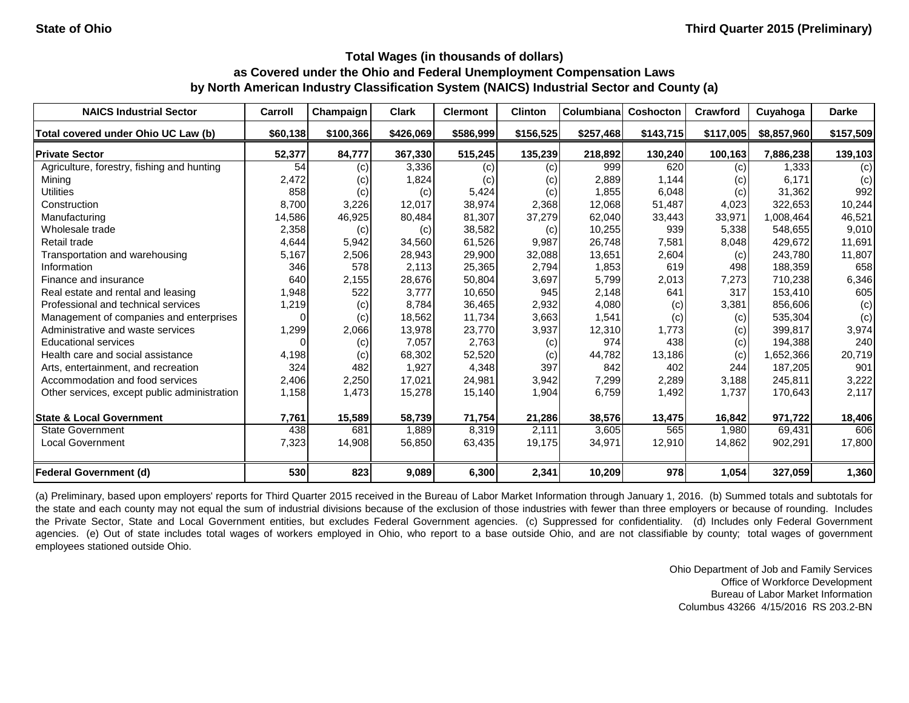| <b>NAICS Industrial Sector</b>               | Carroll  | Champaign | <b>Clark</b> | <b>Clermont</b> | <b>Clinton</b> | Columbiana | Coshocton | <b>Crawford</b> | Cuyahoga    | <b>Darke</b> |
|----------------------------------------------|----------|-----------|--------------|-----------------|----------------|------------|-----------|-----------------|-------------|--------------|
| Total covered under Ohio UC Law (b)          | \$60,138 | \$100,366 | \$426,069    | \$586,999       | \$156,525      | \$257,468  | \$143,715 | \$117,005       | \$8,857,960 | \$157,509    |
| <b>Private Sector</b>                        | 52,377   | 84,777    | 367,330      | 515,245         | 135,239        | 218,892    | 130,240   | 100,163         | 7,886,238   | 139,103      |
| Agriculture, forestry, fishing and hunting   | 54       | (c)       | 3,336        | (c)             | (c)            | 999        | 620       | (c)             | 1,333       | (c)          |
| Mining                                       | 2,472    | (c)       | 1,824        | (c)             | (c)            | 2,889      | 1,144     | (c)             | 6,171       | (c)          |
| <b>Utilities</b>                             | 858      | (c)       | (c)          | 5,424           | (c)            | 1,855      | 6,048     | (c)             | 31,362      | 992          |
| Construction                                 | 8,700    | 3,226     | 12,017       | 38,974          | 2,368          | 12,068     | 51,487    | 4,023           | 322,653     | 10,244       |
| Manufacturing                                | 14,586   | 46,925    | 80,484       | 81,307          | 37,279         | 62,040     | 33,443    | 33,971          | 1,008,464   | 46,521       |
| Wholesale trade                              | 2,358    | (c)       | (c)          | 38,582          | (c)            | 10,255     | 939       | 5,338           | 548,655     | 9,010        |
| Retail trade                                 | 4,644    | 5,942     | 34,560       | 61,526          | 9,987          | 26,748     | 7,581     | 8,048           | 429,672     | 11,691       |
| Transportation and warehousing               | 5,167    | 2,506     | 28,943       | 29,900          | 32,088         | 13,651     | 2,604     | (c)             | 243,780     | 11,807       |
| Information                                  | 346      | 578       | 2,113        | 25,365          | 2,794          | 1,853      | 619       | 498             | 188,359     | 658          |
| Finance and insurance                        | 640      | 2,155     | 28,676       | 50,804          | 3,697          | 5,799      | 2,013     | 7,273           | 710,238     | 6,346        |
| Real estate and rental and leasing           | 1,948    | 522       | 3,777        | 10,650          | 945            | 2,148      | 641       | 317             | 153,410     | 605          |
| Professional and technical services          | 1,219    | (c)       | 8,784        | 36,465          | 2,932          | 4,080      | (c)       | 3,381           | 856,606     | (c)          |
| Management of companies and enterprises      | 0        | (c)       | 18,562       | 11,734          | 3,663          | 1,541      | (c)       | (c)             | 535,304     | (c)          |
| Administrative and waste services            | 1,299    | 2,066     | 13,978       | 23,770          | 3,937          | 12,310     | 1,773     | (c)             | 399,817     | 3,974        |
| <b>Educational services</b>                  |          | (c)       | 7,057        | 2,763           | (c)            | 974        | 438       | (c)             | 194,388     | 240          |
| Health care and social assistance            | 4,198    | (c)       | 68,302       | 52,520          | (c)            | 44,782     | 13,186    | (c)             | 1,652,366   | 20,719       |
| Arts, entertainment, and recreation          | 324      | 482       | 1,927        | 4,348           | 397            | 842        | 402       | 244             | 187,205     | 901          |
| Accommodation and food services              | 2,406    | 2,250     | 17,021       | 24,981          | 3,942          | 7,299      | 2,289     | 3,188           | 245,811     | 3,222        |
| Other services, except public administration | 1,158    | 1,473     | 15,278       | 15,140          | 1,904          | 6,759      | 1,492     | 1,737           | 170,643     | 2,117        |
| <b>State &amp; Local Government</b>          | 7,761    | 15,589    | 58,739       | 71,754          | 21,286         | 38,576     | 13,475    | 16,842          | 971,722     | 18,406       |
| <b>State Government</b>                      | 438      | 681       | 1,889        | 8,319           | 2,111          | 3,605      | 565       | 1,980           | 69,431      | 606          |
| <b>Local Government</b>                      | 7,323    | 14,908    | 56,850       | 63,435          | 19,175         | 34,971     | 12,910    | 14,862          | 902,291     | 17,800       |
| <b>Federal Government (d)</b>                | 530      | 823       | 9,089        | 6,300           | 2,341          | 10,209     | 978       | 1,054           | 327,059     | 1,360        |

(a) Preliminary, based upon employers' reports for Third Quarter 2015 received in the Bureau of Labor Market Information through January 1, 2016. (b) Summed totals and subtotals for the state and each county may not equal the sum of industrial divisions because of the exclusion of those industries with fewer than three employers or because of rounding. Includes the Private Sector, State and Local Government entities, but excludes Federal Government agencies. (c) Suppressed for confidentiality. (d) Includes only Federal Government agencies. (e) Out of state includes total wages of workers employed in Ohio, who report to a base outside Ohio, and are not classifiable by county; total wages of government employees stationed outside Ohio.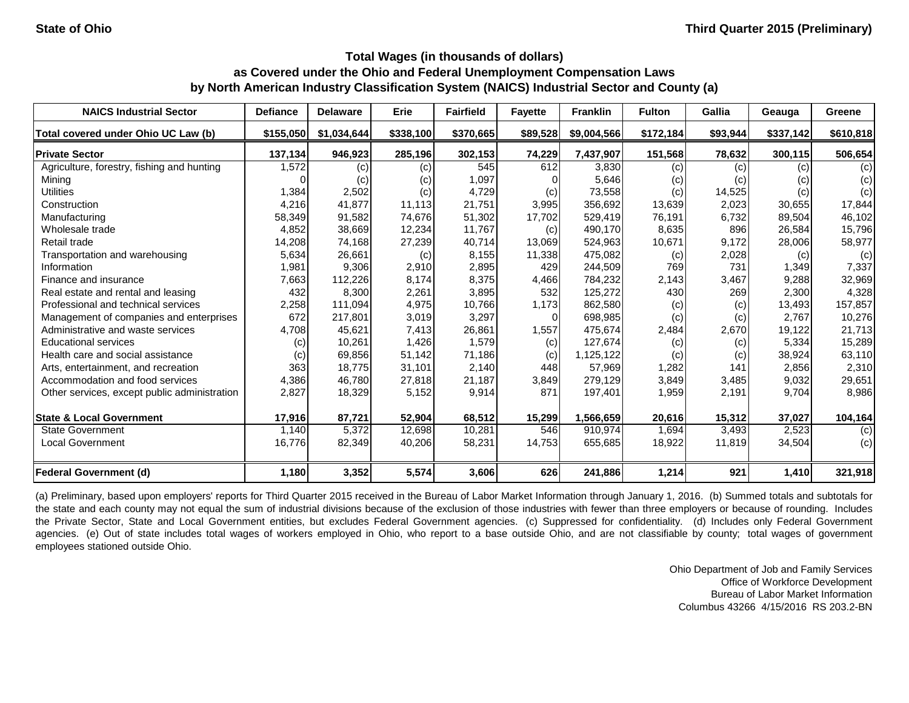| <b>NAICS Industrial Sector</b>               | <b>Defiance</b> | <b>Delaware</b> | Erie      | <b>Fairfield</b> | <b>Fayette</b> | <b>Franklin</b> | <b>Fulton</b> | Gallia   | Geauga    | Greene    |
|----------------------------------------------|-----------------|-----------------|-----------|------------------|----------------|-----------------|---------------|----------|-----------|-----------|
| Total covered under Ohio UC Law (b)          | \$155,050       | \$1,034,644     | \$338,100 | \$370,665        | \$89,528       | \$9,004,566     | \$172,184     | \$93,944 | \$337,142 | \$610,818 |
| <b>Private Sector</b>                        | 137,134         | 946,923         | 285,196   | 302,153          | 74,229         | 7,437,907       | 151,568       | 78,632   | 300,115   | 506,654   |
| Agriculture, forestry, fishing and hunting   | 1,572           | (c)             | (c)       | 545              | 612            | 3,830           | (c)           | (c)      | (c)       | (c)       |
| Mining                                       |                 | (c)             | (c)       | 1,097            |                | 5,646           | (c)           | (c)      | (c)       | (c)       |
| <b>Utilities</b>                             | 1,384           | 2,502           | (c)       | 4,729            | (c)            | 73,558          | (c)           | 14,525   | (c)       | (c)       |
| Construction                                 | 4,216           | 41,877          | 11,113    | 21,751           | 3,995          | 356,692         | 13,639        | 2,023    | 30,655    | 17,844    |
| Manufacturing                                | 58,349          | 91,582          | 74,676    | 51,302           | 17,702         | 529,419         | 76,191        | 6,732    | 89,504    | 46,102    |
| Wholesale trade                              | 4,852           | 38,669          | 12,234    | 11,767           | (c)            | 490,170         | 8,635         | 896      | 26,584    | 15,796    |
| Retail trade                                 | 14,208          | 74,168          | 27,239    | 40,714           | 13,069         | 524,963         | 10,671        | 9,172    | 28,006    | 58,977    |
| Transportation and warehousing               | 5,634           | 26,661          | (c)       | 8,155            | 11,338         | 475,082         | (c)           | 2,028    | (c)       | (c)       |
| Information                                  | 1,981           | 9,306           | 2,910     | 2,895            | 429            | 244,509         | 769           | 731      | 1,349     | 7,337     |
| Finance and insurance                        | 7,663           | 112,226         | 8,174     | 8,375            | 4,466          | 784,232         | 2,143         | 3,467    | 9,288     | 32,969    |
| Real estate and rental and leasing           | 432             | 8,300           | 2,261     | 3,895            | 532            | 125,272         | 430           | 269      | 2,300     | 4,328     |
| Professional and technical services          | 2,258           | 111,094         | 4,975     | 10,766           | 1,173          | 862,580         | (c)           | (c)      | 13,493    | 157,857   |
| Management of companies and enterprises      | 672             | 217,801         | 3,019     | 3,297            | $\Omega$       | 698,985         | (c)           | (c)      | 2,767     | 10,276    |
| Administrative and waste services            | 4,708           | 45,621          | 7,413     | 26,861           | 1,557          | 475,674         | 2,484         | 2,670    | 19,122    | 21,713    |
| <b>Educational services</b>                  | (c)             | 10,261          | 1,426     | 1,579            | (c)            | 127,674         | (c)           | (c)      | 5,334     | 15,289    |
| Health care and social assistance            | (c)             | 69,856          | 51,142    | 71,186           | (c)            | 1,125,122       | (c)           | (c)      | 38,924    | 63,110    |
| Arts, entertainment, and recreation          | 363             | 18,775          | 31,101    | 2,140            | 448            | 57,969          | 1,282         | 141      | 2,856     | 2,310     |
| Accommodation and food services              | 4,386           | 46,780          | 27,818    | 21,187           | 3,849          | 279,129         | 3,849         | 3,485    | 9,032     | 29,651    |
| Other services, except public administration | 2,827           | 18,329          | 5,152     | 9,914            | 871            | 197,401         | 1,959         | 2,191    | 9,704     | 8,986     |
| <b>State &amp; Local Government</b>          | 17,916          | 87,721          | 52,904    | 68,512           | 15,299         | 1,566,659       | 20,616        | 15,312   | 37,027    | 104,164   |
| <b>State Government</b>                      | 1,140           | 5,372           | 12,698    | 10,281           | 546            | 910,974         | 1,694         | 3,493    | 2,523     | (c)       |
| <b>Local Government</b>                      | 16,776          | 82,349          | 40,206    | 58,231           | 14,753         | 655,685         | 18,922        | 11,819   | 34,504    | (c)       |
| <b>Federal Government (d)</b>                | 1,180           | 3,352           | 5,574     | 3,606            | 626            | 241,886         | 1,214         | 921      | 1,410     | 321,918   |

(a) Preliminary, based upon employers' reports for Third Quarter 2015 received in the Bureau of Labor Market Information through January 1, 2016. (b) Summed totals and subtotals for the state and each county may not equal the sum of industrial divisions because of the exclusion of those industries with fewer than three employers or because of rounding. Includes the Private Sector, State and Local Government entities, but excludes Federal Government agencies. (c) Suppressed for confidentiality. (d) Includes only Federal Government agencies. (e) Out of state includes total wages of workers employed in Ohio, who report to a base outside Ohio, and are not classifiable by county; total wages of government employees stationed outside Ohio.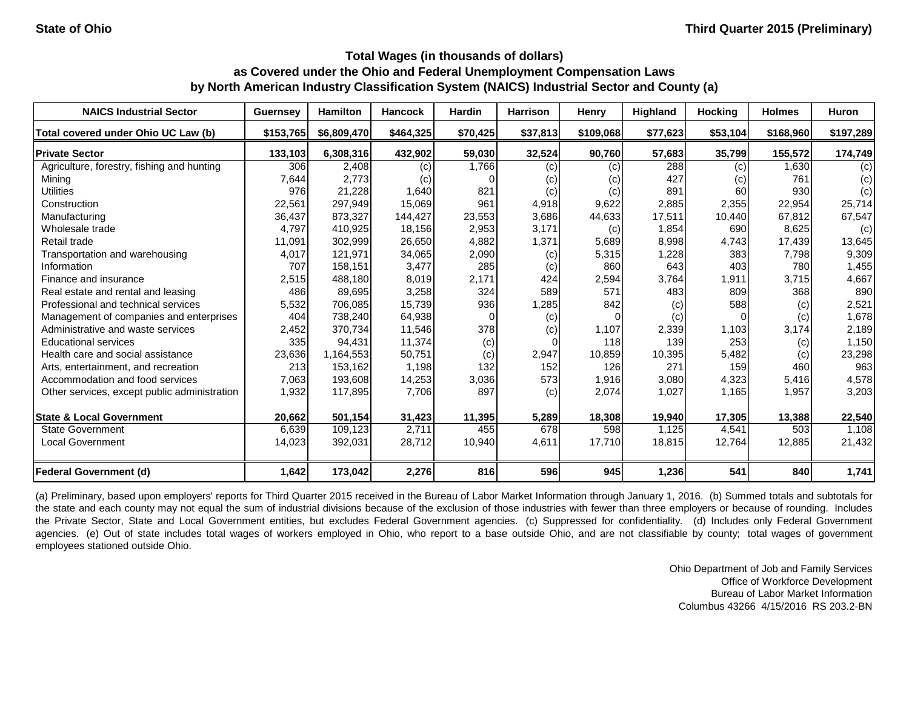| <b>NAICS Industrial Sector</b>               | <b>Guernsey</b> | <b>Hamilton</b> | <b>Hancock</b> | <b>Hardin</b> | <b>Harrison</b> | Henry     | Highland | <b>Hocking</b>  | <b>Holmes</b> | <b>Huron</b> |
|----------------------------------------------|-----------------|-----------------|----------------|---------------|-----------------|-----------|----------|-----------------|---------------|--------------|
| Total covered under Ohio UC Law (b)          | \$153,765       | \$6,809,470     | \$464,325      | \$70,425      | \$37,813        | \$109,068 | \$77,623 | \$53,104        | \$168,960     | \$197,289    |
| <b>Private Sector</b>                        | 133,103         | 6,308,316       | 432,902        | 59,030        | 32,524          | 90,760    | 57,683   | 35,799          | 155,572       | 174,749      |
| Agriculture, forestry, fishing and hunting   | 306             | 2,408           | (c)            | 1,766         | (c)             | $\left( $ | 288      | (c)             | 1,630         | (c)          |
| Mining                                       | 7,644           | 2,773           | (c)            |               | (c)             | (C)       | 427      | (c)             | 761           | (c)          |
| <b>Utilities</b>                             | 976             | 21,228          | 1,640          | 821           | (c)             | $\left( $ | 891      | 60 <sup>1</sup> | 930           | (c)          |
| Construction                                 | 22,561          | 297,949         | 15,069         | 961           | 4,918           | 9,622     | 2,885    | 2,355           | 22,954        | 25,714       |
| Manufacturing                                | 36,437          | 873,327         | 144,427        | 23,553        | 3,686           | 44,633    | 17,511   | 10,440          | 67,812        | 67,547       |
| Wholesale trade                              | 4,797           | 410,925         | 18,156         | 2,953         | 3,171           | (c)       | 1,854    | 690             | 8,625         | (c)          |
| Retail trade                                 | 11,091          | 302,999         | 26,650         | 4,882         | 1,371           | 5,689     | 8,998    | 4,743           | 17,439        | 13,645       |
| Transportation and warehousing               | 4,017           | 121,971         | 34,065         | 2,090         | (c)             | 5,315     | 1,228    | 383             | 7,798         | 9,309        |
| Information                                  | 707             | 158,151         | 3,477          | 285           | (c)             | 860       | 643      | 403             | 780           | 1,455        |
| Finance and insurance                        | 2,515           | 488,180         | 8,019          | 2,171         | 424             | 2,594     | 3,764    | 1,911           | 3,715         | 4,667        |
| Real estate and rental and leasing           | 486             | 89,695          | 3,258          | 324           | 589             | 571       | 483      | 809             | 368           | 890          |
| Professional and technical services          | 5,532           | 706,085         | 15,739         | 936           | 1,285           | 842       | (c)      | 588             | (c)           | 2,521        |
| Management of companies and enterprises      | 404             | 738,240         | 64,938         |               | (c)             |           | (c)      | $\Omega$        | (c)           | 1,678        |
| Administrative and waste services            | 2,452           | 370,734         | 11,546         | 378           | (c)             | 1,107     | 2,339    | 1,103           | 3,174         | 2,189        |
| <b>Educational services</b>                  | 335             | 94,431          | 11,374         | (c)           |                 | 118       | 139      | 253             | (c)           | 1,150        |
| Health care and social assistance            | 23,636          | 1,164,553       | 50,751         | (c)           | 2,947           | 10,859    | 10,395   | 5,482           | (c)           | 23,298       |
| Arts, entertainment, and recreation          | 213             | 153,162         | 1,198          | 132           | 152             | 126       | 271      | 159             | 460           | 963          |
| Accommodation and food services              | 7,063           | 193,608         | 14,253         | 3,036         | 573             | 1,916     | 3,080    | 4,323           | 5,416         | 4,578        |
| Other services, except public administration | 1,932           | 117,895         | 7,706          | 897           | (c)             | 2,074     | 1,027    | 1,165           | 1,957         | 3,203        |
| <b>State &amp; Local Government</b>          | 20,662          | 501,154         | 31,423         | 11,395        | 5,289           | 18,308    | 19,940   | 17,305          | 13,388        | 22,540       |
| <b>State Government</b>                      | 6,639           | 109,123         | 2,711          | 455           | 678             | 598       | 1,125    | 4,541           | 503           | 1,108        |
| <b>Local Government</b>                      | 14,023          | 392,031         | 28,712         | 10,940        | 4,611           | 17,710    | 18,815   | 12,764          | 12,885        | 21,432       |
| <b>Federal Government (d)</b>                | 1,642           | 173,042         | 2,276          | 816           | 596             | 945       | 1,236    | 541             | 840           | 1,741        |

(a) Preliminary, based upon employers' reports for Third Quarter 2015 received in the Bureau of Labor Market Information through January 1, 2016. (b) Summed totals and subtotals for the state and each county may not equal the sum of industrial divisions because of the exclusion of those industries with fewer than three employers or because of rounding. Includes the Private Sector, State and Local Government entities, but excludes Federal Government agencies. (c) Suppressed for confidentiality. (d) Includes only Federal Government agencies. (e) Out of state includes total wages of workers employed in Ohio, who report to a base outside Ohio, and are not classifiable by county; total wages of government employees stationed outside Ohio.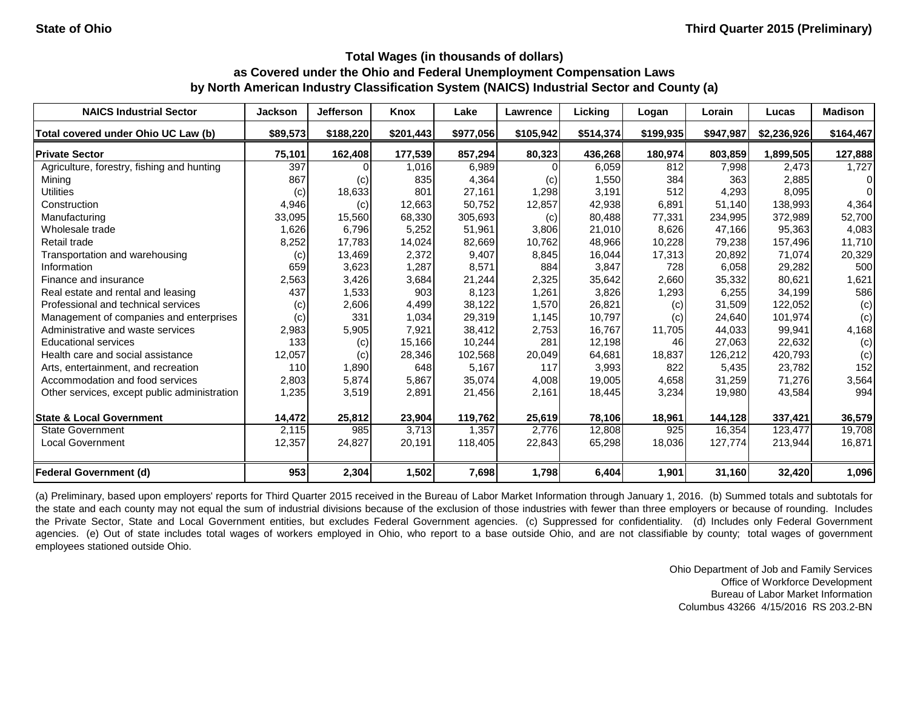| <b>NAICS Industrial Sector</b>               | <b>Jackson</b> | <b>Jefferson</b> | Knox      | Lake      | Lawrence  | Licking   | Logan     | Lorain    | Lucas       | <b>Madison</b> |
|----------------------------------------------|----------------|------------------|-----------|-----------|-----------|-----------|-----------|-----------|-------------|----------------|
| Total covered under Ohio UC Law (b)          | \$89,573       | \$188,220        | \$201,443 | \$977,056 | \$105,942 | \$514,374 | \$199,935 | \$947,987 | \$2,236,926 | \$164,467      |
| <b>Private Sector</b>                        | 75,101         | 162,408          | 177,539   | 857,294   | 80,323    | 436,268   | 180,974   | 803,859   | 1,899,505   | 127,888        |
| Agriculture, forestry, fishing and hunting   | 397            |                  | 1,016     | 6,989     | ΩI        | 6,059     | 812       | 7,998     | 2,473       | 1,727          |
| Mining                                       | 867            | (c)              | 835       | 4,364     | (c)       | 1,550     | 384       | 363       | 2,885       | $\Omega$       |
| <b>Utilities</b>                             | (c)            | 18,633           | 801       | 27,161    | 1,298     | 3,191     | 512       | 4,293     | 8,095       | $\Omega$       |
| Construction                                 | 4,946          | (c)              | 12,663    | 50,752    | 12,857    | 42,938    | 6,891     | 51,140    | 138,993     | 4,364          |
| Manufacturing                                | 33,095         | 15,560           | 68,330    | 305,693   | (c)       | 80,488    | 77,331    | 234,995   | 372,989     | 52,700         |
| Wholesale trade                              | 1,626          | 6,796            | 5,252     | 51,961    | 3,806     | 21,010    | 8,626     | 47,166    | 95,363      | 4,083          |
| Retail trade                                 | 8,252          | 17,783           | 14,024    | 82,669    | 10,762    | 48,966    | 10,228    | 79,238    | 157,496     | 11,710         |
| Transportation and warehousing               | (c)            | 13,469           | 2,372     | 9,407     | 8,845     | 16,044    | 17,313    | 20,892    | 71,074      | 20,329         |
| Information                                  | 659            | 3,623            | 1,287     | 8,571     | 884       | 3,847     | 728       | 6,058     | 29,282      | 500            |
| Finance and insurance                        | 2,563          | 3,426            | 3,684     | 21,244    | 2,325     | 35,642    | 2,660     | 35,332    | 80,621      | 1,621          |
| Real estate and rental and leasing           | 437            | 1,533            | 903       | 8,123     | 1,261     | 3,826     | 1,293     | 6,255     | 34,199      | 586            |
| Professional and technical services          | (c)            | 2,606            | 4,499     | 38,122    | 1,570     | 26,821    | (c)       | 31,509    | 122,052     | (c)            |
| Management of companies and enterprises      | (c)            | 331              | 1,034     | 29,319    | 1,145     | 10,797    | (c)       | 24,640    | 101,974     | (c)            |
| Administrative and waste services            | 2,983          | 5,905            | 7,921     | 38,412    | 2,753     | 16,767    | 11,705    | 44,033    | 99,941      | 4,168          |
| <b>Educational services</b>                  | 133            | (c)              | 15,166    | 10,244    | 281       | 12,198    | 46        | 27,063    | 22,632      | (c)            |
| Health care and social assistance            | 12,057         | (c)              | 28,346    | 102,568   | 20,049    | 64,681    | 18,837    | 126,212   | 420,793     | (c)            |
| Arts, entertainment, and recreation          | 110            | 1,890            | 648       | 5,167     | 117       | 3,993     | 822       | 5,435     | 23,782      | 152            |
| Accommodation and food services              | 2,803          | 5,874            | 5,867     | 35,074    | 4,008     | 19,005    | 4,658     | 31,259    | 71,276      | 3,564          |
| Other services, except public administration | 1,235          | 3,519            | 2,891     | 21,456    | 2,161     | 18,445    | 3,234     | 19,980    | 43,584      | 994            |
| <b>State &amp; Local Government</b>          | 14,472         | 25,812           | 23,904    | 119,762   | 25,619    | 78,106    | 18,961    | 144,128   | 337,421     | 36,579         |
| <b>State Government</b>                      | 2,115          | 985              | 3,713     | 1,357     | 2,776     | 12,808    | 925       | 16,354    | 123,477     | 19,708         |
| <b>Local Government</b>                      | 12,357         | 24,827           | 20,191    | 118,405   | 22,843    | 65,298    | 18,036    | 127,774   | 213,944     | 16,871         |
| <b>Federal Government (d)</b>                | 953            | 2,304            | 1,502     | 7,698     | 1,798     | 6,404     | 1,901     | 31,160    | 32,420      | 1,096          |

(a) Preliminary, based upon employers' reports for Third Quarter 2015 received in the Bureau of Labor Market Information through January 1, 2016. (b) Summed totals and subtotals for the state and each county may not equal the sum of industrial divisions because of the exclusion of those industries with fewer than three employers or because of rounding. Includes the Private Sector, State and Local Government entities, but excludes Federal Government agencies. (c) Suppressed for confidentiality. (d) Includes only Federal Government agencies. (e) Out of state includes total wages of workers employed in Ohio, who report to a base outside Ohio, and are not classifiable by county; total wages of government employees stationed outside Ohio.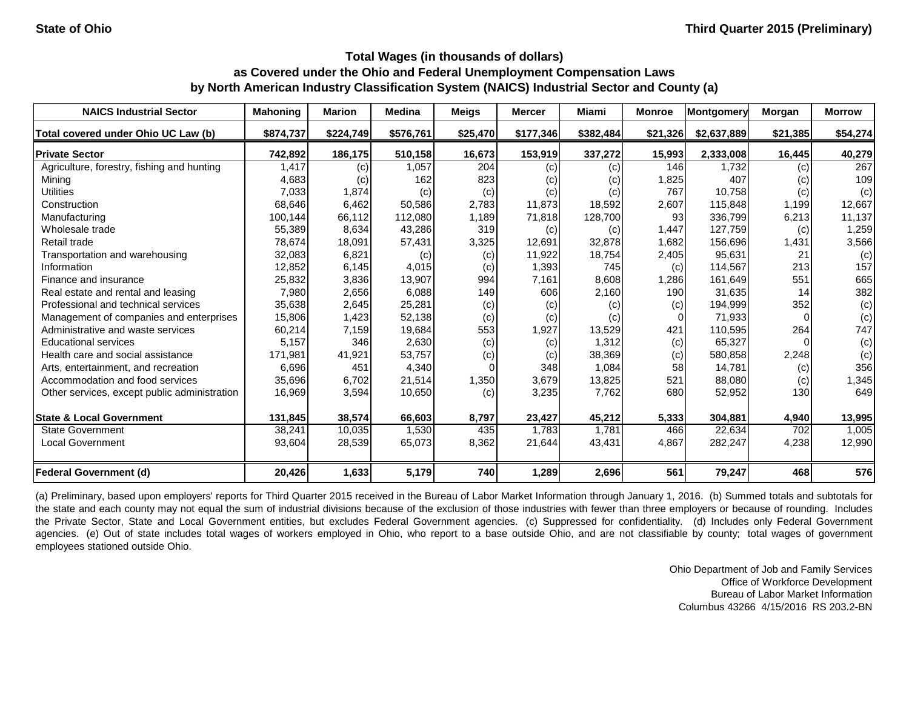| <b>NAICS Industrial Sector</b>               | <b>Mahoning</b> | <b>Marion</b> | <b>Medina</b> | <b>Meigs</b> | <b>Mercer</b> | Miami     | <b>Monroe</b> | Montgomery  | <b>Morgan</b> | <b>Morrow</b> |
|----------------------------------------------|-----------------|---------------|---------------|--------------|---------------|-----------|---------------|-------------|---------------|---------------|
| Total covered under Ohio UC Law (b)          | \$874,737       | \$224,749     | \$576,761     | \$25,470     | \$177,346     | \$382,484 | \$21,326      | \$2,637,889 | \$21,385      | \$54,274      |
| <b>Private Sector</b>                        | 742,892         | 186,175       | 510,158       | 16,673       | 153,919       | 337,272   | 15,993        | 2,333,008   | 16,445        | 40,279        |
| Agriculture, forestry, fishing and hunting   | 1,417           | (c)           | 1,057         | 204          | (c)           | (c)       | 146           | 1,732       | (c)           | 267           |
| Mining                                       | 4,683           | (c)           | 162           | 823          | (c)           | (c)       | 1,825         | 407         | (c)           | 109           |
| <b>Utilities</b>                             | 7,033           | 1,874         | (c)           | (c)          | (c)           | (c)       | 767           | 10,758      | (c)           | (c)           |
| Construction                                 | 68,646          | 6,462         | 50,586        | 2,783        | 11,873        | 18,592    | 2,607         | 115,848     | 1,199         | 12,667        |
| Manufacturing                                | 100,144         | 66,112        | 112,080       | 1,189        | 71,818        | 128,700   | 93            | 336,799     | 6,213         | 11,137        |
| Wholesale trade                              | 55,389          | 8,634         | 43,286        | 319          | (c)           | (c)       | 1,447         | 127,759     | (c)           | 1,259         |
| Retail trade                                 | 78,674          | 18,091        | 57,431        | 3,325        | 12,691        | 32,878    | 1,682         | 156,696     | 1,431         | 3,566         |
| Transportation and warehousing               | 32,083          | 6,821         | (c)           | (c)          | 11,922        | 18,754    | 2,405         | 95,631      | 21            | (c)           |
| Information                                  | 12,852          | 6,145         | 4,015         | (c)          | 1,393         | 745       | (c)           | 114,567     | 213           | 157           |
| Finance and insurance                        | 25,832          | 3,836         | 13,907        | 994          | 7,161         | 8,608     | 1,286         | 161,649     | 551           | 665           |
| Real estate and rental and leasing           | 7,980           | 2,656         | 6,088         | 149          | 606           | 2,160     | 190           | 31,635      | 14            | 382           |
| Professional and technical services          | 35,638          | 2,645         | 25,281        | (c)          | (c)           | (c)       | (c)           | 194,999     | 352           | (c)           |
| Management of companies and enterprises      | 15,806          | 1,423         | 52,138        | (c)          | (c)           | (c)       |               | 71,933      |               | (c)           |
| Administrative and waste services            | 60,214          | 7,159         | 19,684        | 553          | 1,927         | 13,529    | 421           | 110,595     | 264           | 747           |
| <b>Educational services</b>                  | 5,157           | 346           | 2,630         | (c)          | (c)           | 1,312     | (c)           | 65,327      |               | (c)           |
| Health care and social assistance            | 171,981         | 41,921        | 53,757        | (c)          | (c)           | 38,369    | (c)           | 580,858     | 2,248         | (c)           |
| Arts, entertainment, and recreation          | 6,696           | 451           | 4,340         |              | 348           | 1,084     | 58            | 14,781      | (c)           | 356           |
| Accommodation and food services              | 35,696          | 6,702         | 21,514        | 1,350        | 3,679         | 13,825    | 521           | 88,080      | (c)           | 1,345         |
| Other services, except public administration | 16,969          | 3,594         | 10,650        | (c)          | 3,235         | 7,762     | 680           | 52,952      | 130           | 649           |
| <b>State &amp; Local Government</b>          | 131,845         | 38,574        | 66,603        | 8,797        | 23,427        | 45,212    | 5,333         | 304,881     | 4,940         | 13,995        |
| <b>State Government</b>                      | 38,241          | 10,035        | 1,530         | 435          | 1,783         | 1,781     | 466           | 22,634      | 702           | 1,005         |
| <b>Local Government</b>                      | 93,604          | 28,539        | 65,073        | 8,362        | 21,644        | 43,431    | 4,867         | 282,247     | 4,238         | 12,990        |
| <b>Federal Government (d)</b>                | 20,426          | 1,633         | 5,179         | 740          | 1,289         | 2,696     | 561           | 79,247      | 468           | 576           |

(a) Preliminary, based upon employers' reports for Third Quarter 2015 received in the Bureau of Labor Market Information through January 1, 2016. (b) Summed totals and subtotals for the state and each county may not equal the sum of industrial divisions because of the exclusion of those industries with fewer than three employers or because of rounding. Includes the Private Sector, State and Local Government entities, but excludes Federal Government agencies. (c) Suppressed for confidentiality. (d) Includes only Federal Government agencies. (e) Out of state includes total wages of workers employed in Ohio, who report to a base outside Ohio, and are not classifiable by county; total wages of government employees stationed outside Ohio.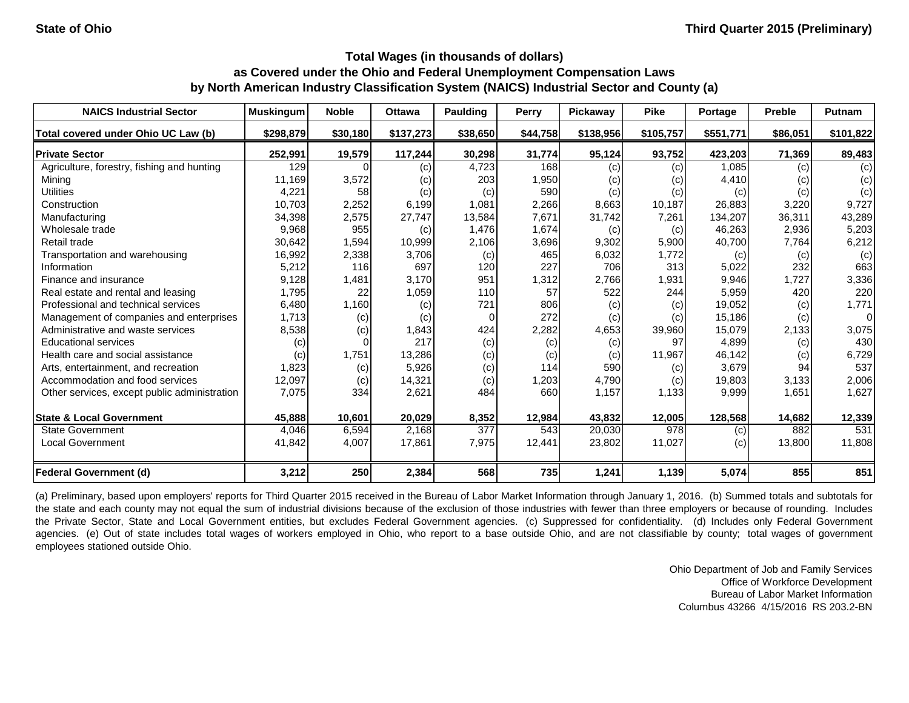| <b>NAICS Industrial Sector</b>               | <b>Muskingum</b> | <b>Noble</b> | <b>Ottawa</b> | Paulding | <b>Perry</b> | Pickaway  | <b>Pike</b> | Portage   | <b>Preble</b> | Putnam         |
|----------------------------------------------|------------------|--------------|---------------|----------|--------------|-----------|-------------|-----------|---------------|----------------|
| Total covered under Ohio UC Law (b)          | \$298,879        | \$30,180     | \$137,273     | \$38,650 | \$44,758     | \$138,956 | \$105,757   | \$551,771 | \$86,051      | \$101,822      |
| <b>Private Sector</b>                        | 252,991          | 19,579       | 117,244       | 30,298   | 31,774       | 95,124    | 93,752      | 423,203   | 71,369        | 89,483         |
| Agriculture, forestry, fishing and hunting   | 129              |              | (c)           | 4,723    | 168          | (c)       | (c)         | 1,085     | (c)           | (c)            |
| Mining                                       | 11,169           | 3,572        | (c)           | 203      | 1,950        | (C)       | (c)         | 4,410     | (c)           | (c)            |
| <b>Utilities</b>                             | 4,221            | 58           | (c)           | (c)      | 590          | (c)       | (c)         | (c)       | (c)           | (c)            |
| Construction                                 | 10,703           | 2,252        | 6,199         | 1,081    | 2,266        | 8,663     | 10,187      | 26,883    | 3,220         | 9,727          |
| Manufacturing                                | 34,398           | 2,575        | 27,747        | 13,584   | 7,671        | 31,742    | 7,261       | 134,207   | 36,311        | 43,289         |
| Wholesale trade                              | 9,968            | 955          | (c)           | 1,476    | 1,674        | (c)       | (c)         | 46,263    | 2,936         | 5,203          |
| Retail trade                                 | 30,642           | 1,594        | 10,999        | 2,106    | 3,696        | 9,302     | 5,900       | 40,700    | 7,764         | 6,212          |
| Transportation and warehousing               | 16,992           | 2,338        | 3,706         | (c)      | 465          | 6,032     | 1,772       | (c)       | (c)           | (c)            |
| Information                                  | 5,212            | 116          | 697           | 120      | 227          | 706       | 313         | 5,022     | 232           | 663            |
| Finance and insurance                        | 9,128            | 1,481        | 3,170         | 951      | 1,312        | 2,766     | 1,931       | 9,946     | 1,727         | 3,336          |
| Real estate and rental and leasing           | 1,795            | 22           | 1,059         | 110      | 57           | 522       | 244         | 5,959     | 420           | 220            |
| Professional and technical services          | 6,480            | 1,160        | (c)           | 721      | 806          | (c)       | (c)         | 19,052    | (c)           | 1,771          |
| Management of companies and enterprises      | 1,713            | (c)          | (c)           |          | 272          | (c)       | (c)         | 15,186    | (c)           | $\overline{0}$ |
| Administrative and waste services            | 8,538            | (c)          | 1,843         | 424      | 2,282        | 4,653     | 39,960      | 15,079    | 2,133         | 3,075          |
| <b>Educational services</b>                  | (c)              |              | 217           | (c)      | (c)          | (c)       | 97          | 4,899     | (c)           | 430            |
| Health care and social assistance            | (c)              | 1,751        | 13,286        | (c)      | (c)          | (c)       | 11,967      | 46,142    | (c)           | 6,729          |
| Arts, entertainment, and recreation          | 1,823            | (c)          | 5,926         | (c)      | 114          | 590       | (c)         | 3,679     | 94            | 537            |
| Accommodation and food services              | 12,097           | (c)          | 14,321        | (c)      | 1,203        | 4,790     | (c)         | 19,803    | 3,133         | 2,006          |
| Other services, except public administration | 7,075            | 334          | 2,621         | 484      | 660          | 1,157     | 1,133       | 9,999     | 1,651         | 1,627          |
| <b>State &amp; Local Government</b>          | 45,888           | 10,601       | 20,029        | 8,352    | 12,984       | 43,832    | 12,005      | 128,568   | 14,682        | 12,339         |
| <b>State Government</b>                      | 4,046            | 6,594        | 2,168         | 377      | 543          | 20,030    | 978         | (c)       | 882           | 531            |
| <b>Local Government</b>                      | 41,842           | 4,007        | 17,861        | 7,975    | 12,441       | 23,802    | 11,027      | (c)       | 13,800        | 11,808         |
| <b>Federal Government (d)</b>                | 3,212            | 250          | 2,384         | 568      | 735          | 1,241     | 1,139       | 5,074     | 855           | 851            |

(a) Preliminary, based upon employers' reports for Third Quarter 2015 received in the Bureau of Labor Market Information through January 1, 2016. (b) Summed totals and subtotals for the state and each county may not equal the sum of industrial divisions because of the exclusion of those industries with fewer than three employers or because of rounding. Includes the Private Sector, State and Local Government entities, but excludes Federal Government agencies. (c) Suppressed for confidentiality. (d) Includes only Federal Government agencies. (e) Out of state includes total wages of workers employed in Ohio, who report to a base outside Ohio, and are not classifiable by county; total wages of government employees stationed outside Ohio.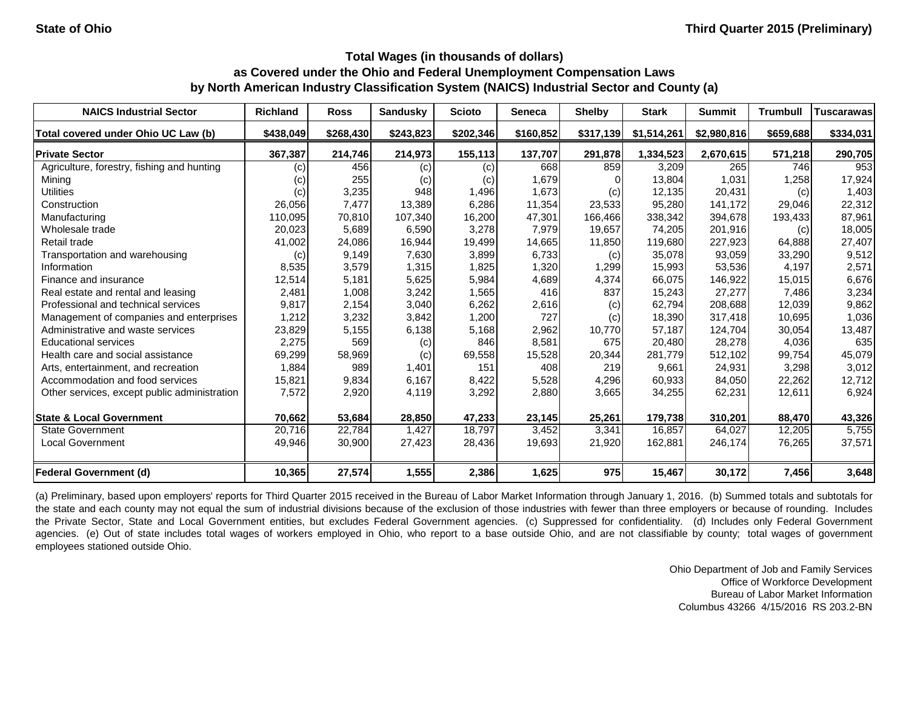| <b>NAICS Industrial Sector</b>               | <b>Richland</b> | <b>Ross</b> | <b>Sandusky</b> | <b>Scioto</b> | <b>Seneca</b> | <b>Shelby</b> | <b>Stark</b> | <b>Summit</b> | <b>Trumbull</b> | <b>Tuscarawas</b> |
|----------------------------------------------|-----------------|-------------|-----------------|---------------|---------------|---------------|--------------|---------------|-----------------|-------------------|
| Total covered under Ohio UC Law (b)          | \$438,049       | \$268,430   | \$243,823       | \$202,346     | \$160,852     | \$317,139     | \$1,514,261  | \$2,980,816   | \$659,688       | \$334,031         |
| <b>Private Sector</b>                        | 367,387         | 214,746     | 214,973         | 155,113       | 137,707       | 291,878       | 1,334,523    | 2,670,615     | 571,218         | 290,705           |
| Agriculture, forestry, fishing and hunting   | (c)             | 456         | (c)             | (c)           | 668           | 859           | 3,209        | 265           | 746             | 953               |
| Mining                                       | (c)             | 255         | (c)             | (c)           | 1,679         |               | 13,804       | 1,031         | 1,258           | 17,924            |
| <b>Utilities</b>                             | (c)             | 3,235       | 948             | 1,496         | 1,673         | (c)           | 12,135       | 20,431        | (c)             | 1,403             |
| Construction                                 | 26,056          | 7,477       | 13,389          | 6,286         | 11,354        | 23,533        | 95,280       | 141,172       | 29,046          | 22,312            |
| Manufacturing                                | 110,095         | 70,810      | 107,340         | 16,200        | 47,301        | 166,466       | 338,342      | 394,678       | 193,433         | 87,961            |
| Wholesale trade                              | 20,023          | 5,689       | 6,590           | 3,278         | 7,979         | 19,657        | 74,205       | 201,916       | (c)             | 18,005            |
| Retail trade                                 | 41,002          | 24,086      | 16,944          | 19,499        | 14,665        | 11,850        | 119,680      | 227,923       | 64,888          | 27,407            |
| Transportation and warehousing               | (c)             | 9,149       | 7,630           | 3,899         | 6,733         | (c)           | 35,078       | 93,059        | 33,290          | 9,512             |
| Information                                  | 8,535           | 3,579       | 1,315           | 1,825         | 1,320         | 1,299         | 15,993       | 53,536        | 4,197           | 2,571             |
| Finance and insurance                        | 12,514          | 5,181       | 5,625           | 5,984         | 4,689         | 4,374         | 66,075       | 146,922       | 15,015          | 6,676             |
| Real estate and rental and leasing           | 2,481           | 1,008       | 3,242           | 1,565         | 416           | 837           | 15,243       | 27,277        | 7,486           | 3,234             |
| Professional and technical services          | 9,817           | 2,154       | 3,040           | 6,262         | 2,616         | (c)           | 62,794       | 208,688       | 12,039          | 9,862             |
| Management of companies and enterprises      | 1,212           | 3,232       | 3,842           | 1,200         | 727           | (c)           | 18,390       | 317,418       | 10,695          | 1,036             |
| Administrative and waste services            | 23,829          | 5,155       | 6,138           | 5,168         | 2,962         | 10,770        | 57,187       | 124,704       | 30,054          | 13,487            |
| <b>Educational services</b>                  | 2,275           | 569         | (c)             | 846           | 8,581         | 675           | 20,480       | 28,278        | 4,036           | 635               |
| Health care and social assistance            | 69,299          | 58,969      | (c)             | 69,558        | 15,528        | 20,344        | 281,779      | 512,102       | 99,754          | 45,079            |
| Arts, entertainment, and recreation          | 1,884           | 989         | 1,401           | 151           | 408           | 219           | 9,661        | 24,931        | 3,298           | 3,012             |
| Accommodation and food services              | 15,821          | 9,834       | 6,167           | 8,422         | 5,528         | 4,296         | 60,933       | 84,050        | 22,262          | 12,712            |
| Other services, except public administration | 7,572           | 2,920       | 4,119           | 3,292         | 2,880         | 3,665         | 34,255       | 62,231        | 12,611          | 6,924             |
| <b>State &amp; Local Government</b>          | 70,662          | 53,684      | 28,850          | 47,233        | 23,145        | 25,261        | 179,738      | 310,201       | 88,470          | 43,326            |
| <b>State Government</b>                      | 20,716          | 22,784      | 1,427           | 18,797        | 3,452         | 3,341         | 16,857       | 64,027        | 12,205          | 5,755             |
| <b>Local Government</b>                      | 49,946          | 30,900      | 27,423          | 28,436        | 19,693        | 21,920        | 162,881      | 246,174       | 76,265          | 37,571            |
| <b>Federal Government (d)</b>                | 10,365          | 27,574      | 1,555           | 2,386         | 1,625         | 975           | 15,467       | 30,172        | 7,456           | 3,648             |

(a) Preliminary, based upon employers' reports for Third Quarter 2015 received in the Bureau of Labor Market Information through January 1, 2016. (b) Summed totals and subtotals for the state and each county may not equal the sum of industrial divisions because of the exclusion of those industries with fewer than three employers or because of rounding. Includes the Private Sector, State and Local Government entities, but excludes Federal Government agencies. (c) Suppressed for confidentiality. (d) Includes only Federal Government agencies. (e) Out of state includes total wages of workers employed in Ohio, who report to a base outside Ohio, and are not classifiable by county; total wages of government employees stationed outside Ohio.